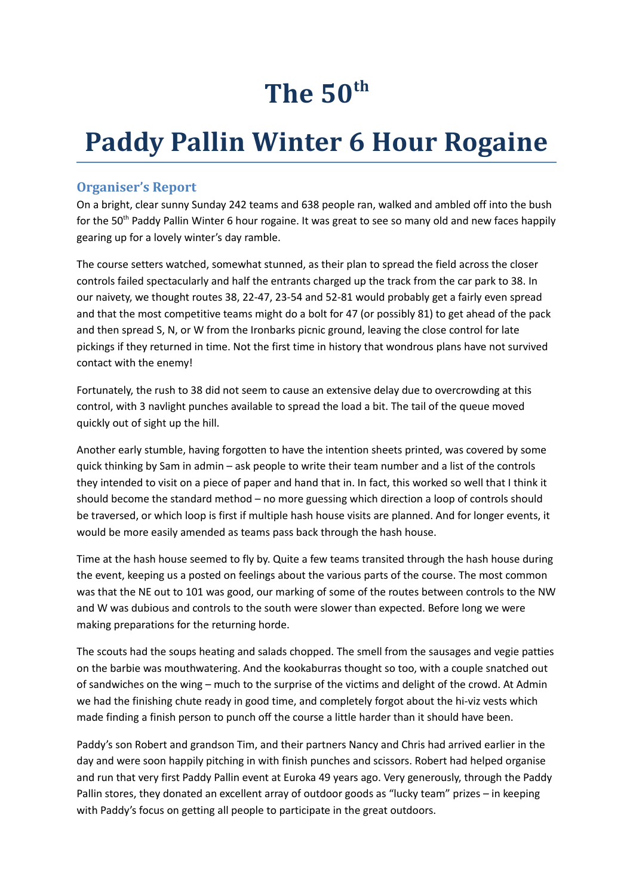## **The 50th**

## **Paddy Pallin Winter 6 Hour Rogaine**

## **Organiser's Report**

On a bright, clear sunny Sunday 242 teams and 638 people ran, walked and ambled off into the bush for the 50<sup>th</sup> Paddy Pallin Winter 6 hour rogaine. It was great to see so many old and new faces happily gearing up for a lovely winter's day ramble.

The course setters watched, somewhat stunned, as their plan to spread the field across the closer controls failed spectacularly and half the entrants charged up the track from the car park to 38. In our naivety, we thought routes 38, 22-47, 23-54 and 52-81 would probably get a fairly even spread and that the most competitive teams might do a bolt for 47 (or possibly 81) to get ahead of the pack and then spread S, N, or W from the Ironbarks picnic ground, leaving the close control for late pickings if they returned in time. Not the first time in history that wondrous plans have not survived contact with the enemy!

Fortunately, the rush to 38 did not seem to cause an extensive delay due to overcrowding at this control, with 3 navlight punches available to spread the load a bit. The tail of the queue moved quickly out of sight up the hill.

Another early stumble, having forgotten to have the intention sheets printed, was covered by some quick thinking by Sam in admin – ask people to write their team number and a list of the controls they intended to visit on a piece of paper and hand that in. In fact, this worked so well that I think it should become the standard method – no more guessing which direction a loop of controls should be traversed, or which loop is first if multiple hash house visits are planned. And for longer events, it would be more easily amended as teams pass back through the hash house.

Time at the hash house seemed to fly by. Quite a few teams transited through the hash house during the event, keeping us a posted on feelings about the various parts of the course. The most common was that the NE out to 101 was good, our marking of some of the routes between controls to the NW and W was dubious and controls to the south were slower than expected. Before long we were making preparations for the returning horde.

The scouts had the soups heating and salads chopped. The smell from the sausages and vegie patties on the barbie was mouthwatering. And the kookaburras thought so too, with a couple snatched out of sandwiches on the wing – much to the surprise of the victims and delight of the crowd. At Admin we had the finishing chute ready in good time, and completely forgot about the hi-viz vests which made finding a finish person to punch off the course a little harder than it should have been.

Paddy's son Robert and grandson Tim, and their partners Nancy and Chris had arrived earlier in the day and were soon happily pitching in with finish punches and scissors. Robert had helped organise and run that very first Paddy Pallin event at Euroka 49 years ago. Very generously, through the Paddy Pallin stores, they donated an excellent array of outdoor goods as "lucky team" prizes – in keeping with Paddy's focus on getting all people to participate in the great outdoors.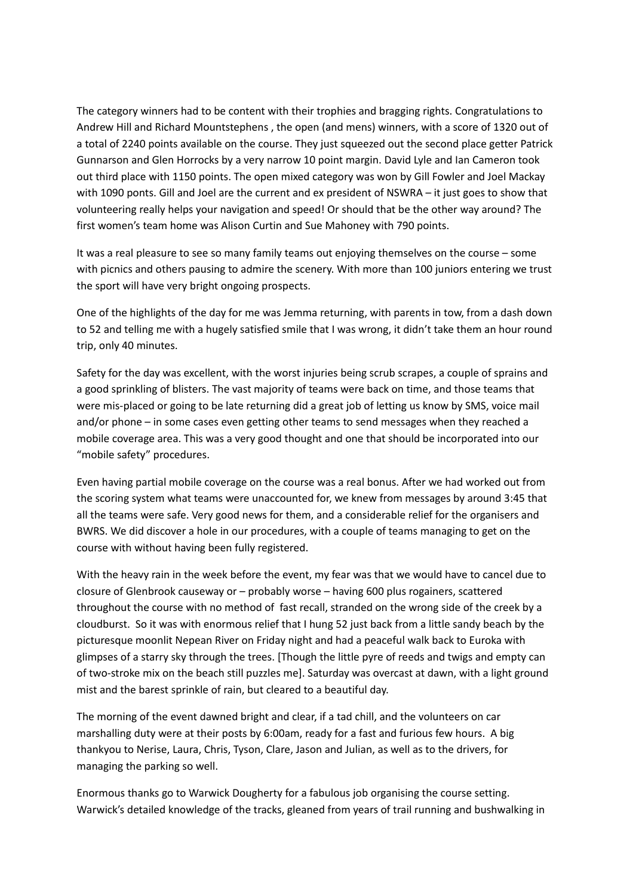The category winners had to be content with their trophies and bragging rights. Congratulations to Andrew Hill and Richard Mountstephens , the open (and mens) winners, with a score of 1320 out of a total of 2240 points available on the course. They just squeezed out the second place getter Patrick Gunnarson and Glen Horrocks by a very narrow 10 point margin. David Lyle and Ian Cameron took out third place with 1150 points. The open mixed category was won by Gill Fowler and Joel Mackay with 1090 ponts. Gill and Joel are the current and ex president of NSWRA – it just goes to show that volunteering really helps your navigation and speed! Or should that be the other way around? The first women's team home was Alison Curtin and Sue Mahoney with 790 points.

It was a real pleasure to see so many family teams out enjoying themselves on the course – some with picnics and others pausing to admire the scenery. With more than 100 juniors entering we trust the sport will have very bright ongoing prospects.

One of the highlights of the day for me was Jemma returning, with parents in tow, from a dash down to 52 and telling me with a hugely satisfied smile that I was wrong, it didn't take them an hour round trip, only 40 minutes.

Safety for the day was excellent, with the worst injuries being scrub scrapes, a couple of sprains and a good sprinkling of blisters. The vast majority of teams were back on time, and those teams that were mis-placed or going to be late returning did a great job of letting us know by SMS, voice mail and/or phone – in some cases even getting other teams to send messages when they reached a mobile coverage area. This was a very good thought and one that should be incorporated into our "mobile safety" procedures.

Even having partial mobile coverage on the course was a real bonus. After we had worked out from the scoring system what teams were unaccounted for, we knew from messages by around 3:45 that all the teams were safe. Very good news for them, and a considerable relief for the organisers and BWRS. We did discover a hole in our procedures, with a couple of teams managing to get on the course with without having been fully registered.

With the heavy rain in the week before the event, my fear was that we would have to cancel due to closure of Glenbrook causeway or – probably worse – having 600 plus rogainers, scattered throughout the course with no method of fast recall, stranded on the wrong side of the creek by a cloudburst. So it was with enormous relief that I hung 52 just back from a little sandy beach by the picturesque moonlit Nepean River on Friday night and had a peaceful walk back to Euroka with glimpses of a starry sky through the trees. [Though the little pyre of reeds and twigs and empty can of two-stroke mix on the beach still puzzles me]. Saturday was overcast at dawn, with a light ground mist and the barest sprinkle of rain, but cleared to a beautiful day.

The morning of the event dawned bright and clear, if a tad chill, and the volunteers on car marshalling duty were at their posts by 6:00am, ready for a fast and furious few hours. A big thankyou to Nerise, Laura, Chris, Tyson, Clare, Jason and Julian, as well as to the drivers, for managing the parking so well.

Enormous thanks go to Warwick Dougherty for a fabulous job organising the course setting. Warwick's detailed knowledge of the tracks, gleaned from years of trail running and bushwalking in